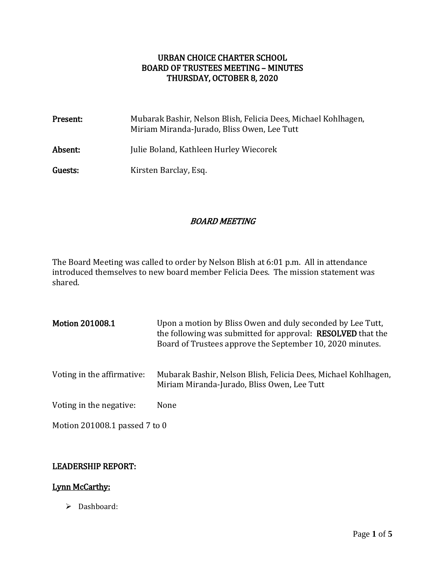# URBAN CHOICE CHARTER SCHOOL BOARD OF TRUSTEES MEETING – MINUTES THURSDAY, OCTOBER 8, 2020

| Present: | Mubarak Bashir, Nelson Blish, Felicia Dees, Michael Kohlhagen,<br>Miriam Miranda-Jurado, Bliss Owen, Lee Tutt |
|----------|---------------------------------------------------------------------------------------------------------------|
| Absent:  | Julie Boland, Kathleen Hurley Wiecorek                                                                        |
| Guests:  | Kirsten Barclay, Esq.                                                                                         |

# BOARD MEETING

The Board Meeting was called to order by Nelson Blish at 6:01 p.m. All in attendance introduced themselves to new board member Felicia Dees. The mission statement was shared.

| <b>Motion 201008.1</b>        | Upon a motion by Bliss Owen and duly seconded by Lee Tutt,<br>the following was submitted for approval: <b>RESOLVED</b> that the<br>Board of Trustees approve the September 10, 2020 minutes. |
|-------------------------------|-----------------------------------------------------------------------------------------------------------------------------------------------------------------------------------------------|
| Voting in the affirmative:    | Mubarak Bashir, Nelson Blish, Felicia Dees, Michael Kohlhagen,<br>Miriam Miranda-Jurado, Bliss Owen, Lee Tutt                                                                                 |
| Voting in the negative:       | None                                                                                                                                                                                          |
| Motion 201008.1 passed 7 to 0 |                                                                                                                                                                                               |

## LEADERSHIP REPORT:

# Lynn McCarthy:

 $\triangleright$  Dashboard: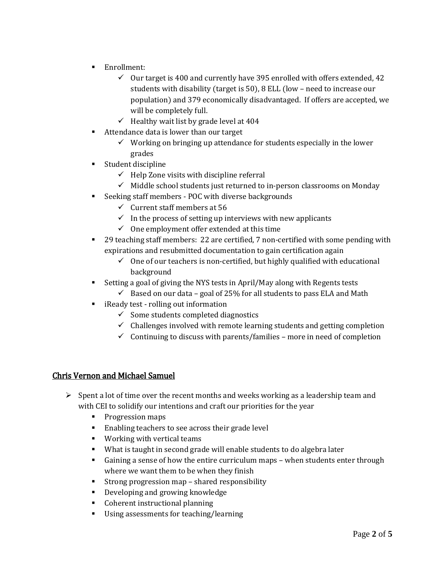- **Enrollment:** 
	- $\checkmark$  Our target is 400 and currently have 395 enrolled with offers extended, 42 students with disability (target is 50), 8 ELL (low – need to increase our population) and 379 economically disadvantaged. If offers are accepted, we will be completely full.
	- $\checkmark$  Healthy wait list by grade level at 404
- Attendance data is lower than our target
	- $\checkmark$  Working on bringing up attendance for students especially in the lower grades
- **Student discipline** 
	- $\checkmark$  Help Zone visits with discipline referral
	- $\checkmark$  Middle school students just returned to in-person classrooms on Monday
- Seeking staff members POC with diverse backgrounds
	- $\checkmark$  Current staff members at 56
	- $\checkmark$  In the process of setting up interviews with new applicants
	- $\checkmark$  One employment offer extended at this time
- 29 teaching staff members: 22 are certified, 7 non-certified with some pending with expirations and resubmitted documentation to gain certification again
	- $\checkmark$  One of our teachers is non-certified, but highly qualified with educational background
- Setting a goal of giving the NYS tests in April/May along with Regents tests
	- $\checkmark$  Based on our data goal of 25% for all students to pass ELA and Math
- **EXECUTE:** iReady test rolling out information
	- $\checkmark$  Some students completed diagnostics
	- $\checkmark$  Challenges involved with remote learning students and getting completion
	- $\checkmark$  Continuing to discuss with parents/families more in need of completion

### Chris Vernon and Michael Samuel

- $\triangleright$  Spent a lot of time over the recent months and weeks working as a leadership team and with CEI to solidify our intentions and craft our priorities for the year
	- **Progression maps**
	- **Enabling teachers to see across their grade level**
	- Working with vertical teams
	- What is taught in second grade will enable students to do algebra later
	- Gaining a sense of how the entire curriculum maps when students enter through where we want them to be when they finish
	- Strong progression map shared responsibility
	- **Developing and growing knowledge**
	- **Coherent instructional planning**
	- Using assessments for teaching/learning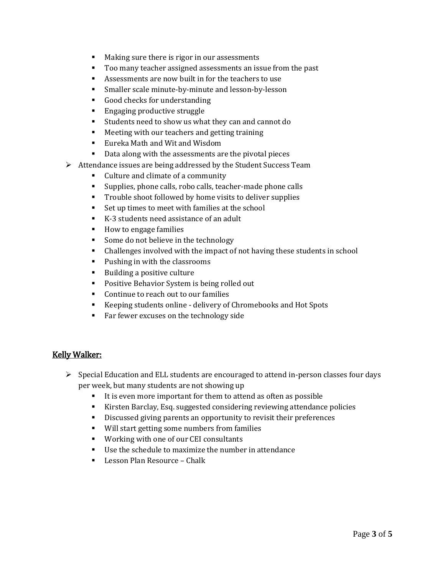- **Making sure there is rigor in our assessments**
- Too many teacher assigned assessments an issue from the past
- Assessments are now built in for the teachers to use
- Smaller scale minute-by-minute and lesson-by-lesson
- Good checks for understanding
- **Engaging productive struggle**
- Students need to show us what they can and cannot do
- Meeting with our teachers and getting training
- **Eureka Math and Wit and Wisdom**
- Data along with the assessments are the pivotal pieces
- $\triangleright$  Attendance issues are being addressed by the Student Success Team
	- Culture and climate of a community
	- Supplies, phone calls, robo calls, teacher-made phone calls
	- Trouble shoot followed by home visits to deliver supplies
	- Set up times to meet with families at the school
	- K-3 students need assistance of an adult
	- How to engage families
	- Some do not believe in the technology
	- Challenges involved with the impact of not having these students in school
	- **Pushing in with the classrooms**
	- **Building a positive culture**
	- **Positive Behavior System is being rolled out**
	- Continue to reach out to our families
	- Keeping students online delivery of Chromebooks and Hot Spots
	- Far fewer excuses on the technology side

### Kelly Walker:

- $\triangleright$  Special Education and ELL students are encouraged to attend in-person classes four days per week, but many students are not showing up
	- It is even more important for them to attend as often as possible
	- Kirsten Barclay, Esq. suggested considering reviewing attendance policies
	- Discussed giving parents an opportunity to revisit their preferences
	- Will start getting some numbers from families
	- **Working with one of our CEI consultants**
	- Use the schedule to maximize the number in attendance
	- Lesson Plan Resource Chalk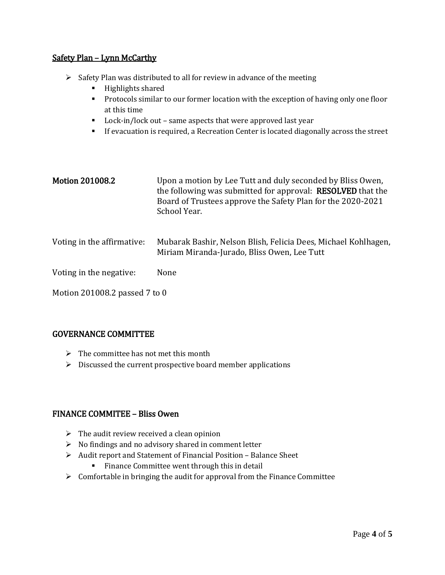### Safety Plan – Lynn McCarthy

- $\triangleright$  Safety Plan was distributed to all for review in advance of the meeting
	- $\blacksquare$  Highlights shared
	- **Protocols similar to our former location with the exception of having only one floor** at this time
	- Lock-in/lock out same aspects that were approved last year
	- If evacuation is required, a Recreation Center is located diagonally across the street

| <b>Motion 201008.2</b>        | Upon a motion by Lee Tutt and duly seconded by Bliss Owen,<br>the following was submitted for approval: <b>RESOLVED</b> that the<br>Board of Trustees approve the Safety Plan for the 2020-2021<br>School Year. |  |
|-------------------------------|-----------------------------------------------------------------------------------------------------------------------------------------------------------------------------------------------------------------|--|
| Voting in the affirmative:    | Mubarak Bashir, Nelson Blish, Felicia Dees, Michael Kohlhagen,<br>Miriam Miranda-Jurado, Bliss Owen, Lee Tutt                                                                                                   |  |
| Voting in the negative:       | None                                                                                                                                                                                                            |  |
| Motion 201008.2 passed 7 to 0 |                                                                                                                                                                                                                 |  |

### GOVERNANCE COMMITTEE

- $\triangleright$  The committee has not met this month
- $\triangleright$  Discussed the current prospective board member applications

### FINANCE COMMITEE – Bliss Owen

- $\triangleright$  The audit review received a clean opinion
- $\triangleright$  No findings and no advisory shared in comment letter
- Audit report and Statement of Financial Position Balance Sheet
	- **Finance Committee went through this in detail**
- $\triangleright$  Comfortable in bringing the audit for approval from the Finance Committee